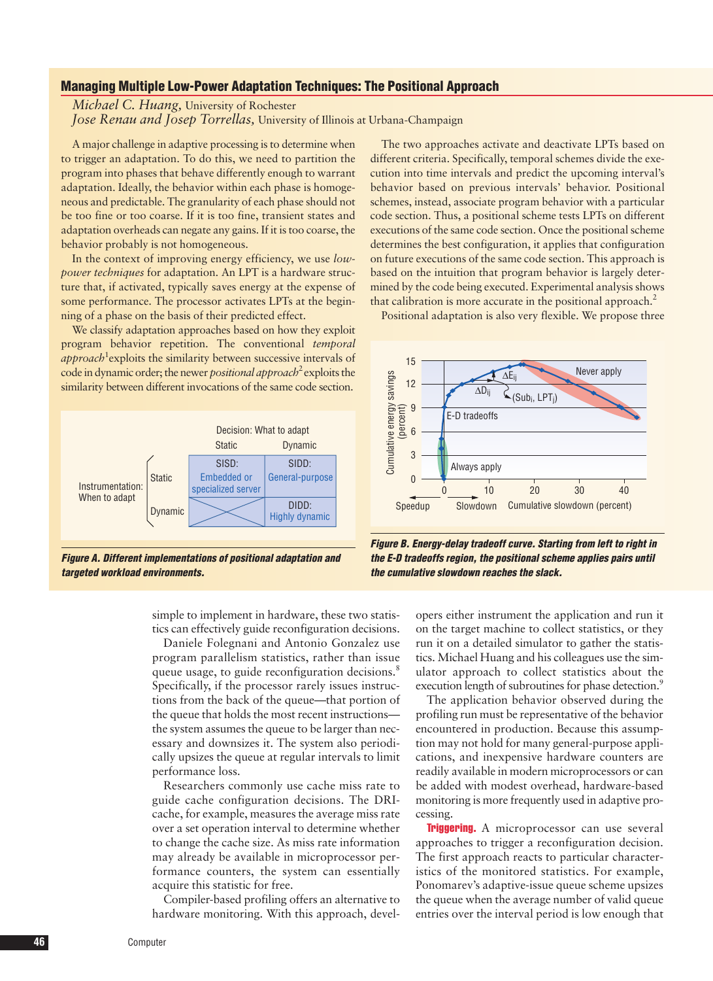## **Managing Multiple Low-Power Adaptation Techniques: The Positional Approach**

*Michael C. Huang,* University of Rochester

*Jose Renau and Josep Torrellas,* University of Illinois at Urbana-Champaign

A major challenge in adaptive processing is to determine when to trigger an adaptation. To do this, we need to partition the program into phases that behave differently enough to warrant adaptation. Ideally, the behavior within each phase is homogeneous and predictable. The granularity of each phase should not be too fine or too coarse. If it is too fine, transient states and adaptation overheads can negate any gains. If it is too coarse, the behavior probably is not homogeneous.

In the context of improving energy efficiency, we use *lowpower techniques* for adaptation. An LPT is a hardware structure that, if activated, typically saves energy at the expense of some performance. The processor activates LPTs at the beginning of a phase on the basis of their predicted effect.

We classify adaptation approaches based on how they exploit program behavior repetition. The conventional *temporal* approach<sup>1</sup> exploits the similarity between successive intervals of code in dynamic order; the newer *positional approach*<sup>2</sup> exploits the similarity between different invocations of the same code section.



*Figure A. Different implementations of positional adaptation and targeted workload environments.*

simple to implement in hardware, these two statistics can effectively guide reconfiguration decisions.

Daniele Folegnani and Antonio Gonzalez use program parallelism statistics, rather than issue queue usage, to guide reconfiguration decisions.<sup>8</sup> Specifically, if the processor rarely issues instructions from the back of the queue—that portion of the queue that holds the most recent instructions the system assumes the queue to be larger than necessary and downsizes it. The system also periodically upsizes the queue at regular intervals to limit performance loss.

Researchers commonly use cache miss rate to guide cache configuration decisions. The DRIcache, for example, measures the average miss rate over a set operation interval to determine whether to change the cache size. As miss rate information may already be available in microprocessor performance counters, the system can essentially acquire this statistic for free.

Compiler-based profiling offers an alternative to hardware monitoring. With this approach, devel-

The two approaches activate and deactivate LPTs based on different criteria. Specifically, temporal schemes divide the execution into time intervals and predict the upcoming interval's behavior based on previous intervals' behavior. Positional schemes, instead, associate program behavior with a particular code section. Thus, a positional scheme tests LPTs on different executions of the same code section. Once the positional scheme determines the best configuration, it applies that configuration on future executions of the same code section. This approach is based on the intuition that program behavior is largely determined by the code being executed. Experimental analysis shows that calibration is more accurate in the positional approach. $<sup>2</sup>$ </sup>

Positional adaptation is also very flexible. We propose three



*Figure B. Energy-delay tradeoff curve. Starting from left to right in the E-D tradeoffs region, the positional scheme applies pairs until the cumulative slowdown reaches the slack.*

opers either instrument the application and run it on the target machine to collect statistics, or they run it on a detailed simulator to gather the statistics. Michael Huang and his colleagues use the simulator approach to collect statistics about the execution length of subroutines for phase detection.<sup>9</sup>

The application behavior observed during the profiling run must be representative of the behavior encountered in production. Because this assumption may not hold for many general-purpose applications, and inexpensive hardware counters are readily available in modern microprocessors or can be added with modest overhead, hardware-based monitoring is more frequently used in adaptive processing.

**Triggering.** A microprocessor can use several approaches to trigger a reconfiguration decision. The first approach reacts to particular characteristics of the monitored statistics. For example, Ponomarev's adaptive-issue queue scheme upsizes the queue when the average number of valid queue entries over the interval period is low enough that